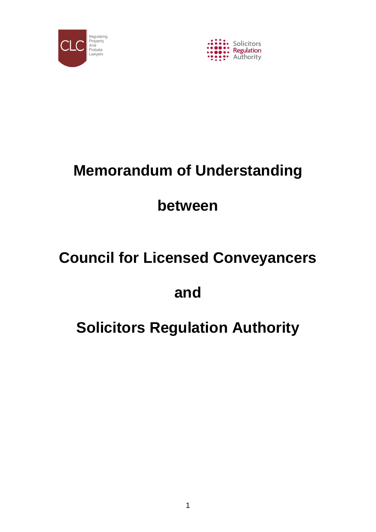



# **Memorandum of Understanding**

# **between**

# **Council for Licensed Conveyancers**

# **and**

# **Solicitors Regulation Authority**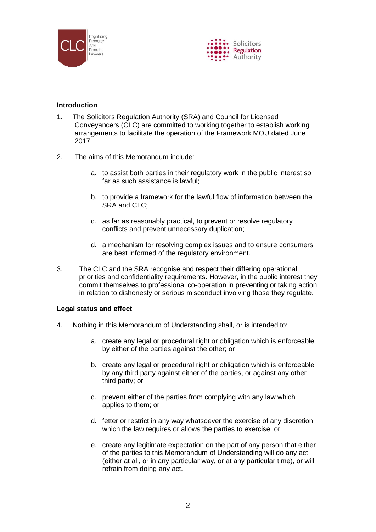



# **Introduction**

- 1. The Solicitors Regulation Authority (SRA) and Council for Licensed Conveyancers (CLC) are committed to working together to establish working arrangements to facilitate the operation of the Framework MOU dated June 2017.
- 2. The aims of this Memorandum include:
	- a. to assist both parties in their regulatory work in the public interest so far as such assistance is lawful;
	- b. to provide a framework for the lawful flow of information between the SRA and CLC:
	- c. as far as reasonably practical, to prevent or resolve regulatory conflicts and prevent unnecessary duplication;
	- d. a mechanism for resolving complex issues and to ensure consumers are best informed of the regulatory environment.
- 3. The CLC and the SRA recognise and respect their differing operational priorities and confidentiality requirements. However, in the public interest they commit themselves to professional co-operation in preventing or taking action in relation to dishonesty or serious misconduct involving those they regulate.

# **Legal status and effect**

- 4. Nothing in this Memorandum of Understanding shall, or is intended to:
	- a. create any legal or procedural right or obligation which is enforceable by either of the parties against the other; or
	- b. create any legal or procedural right or obligation which is enforceable by any third party against either of the parties, or against any other third party; or
	- c. prevent either of the parties from complying with any law which applies to them; or
	- d. fetter or restrict in any way whatsoever the exercise of any discretion which the law requires or allows the parties to exercise; or
	- e. create any legitimate expectation on the part of any person that either of the parties to this Memorandum of Understanding will do any act (either at all, or in any particular way, or at any particular time), or will refrain from doing any act.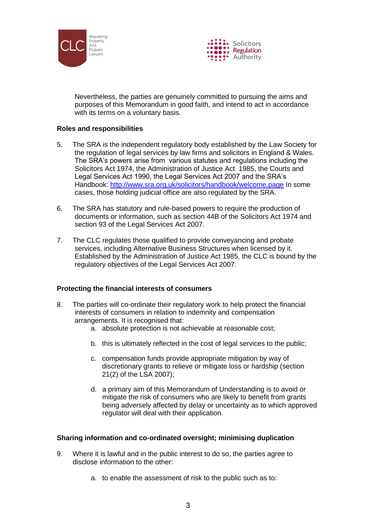



Nevertheless, the parties are genuinely committed to pursuing the aims and purposes of this Memorandum in good faith, and intend to act in accordance with its terms on a voluntary basis.

# **Roles and responsibilities**

- 5. The SRA is the independent regulatory body established by the Law Society for the regulation of legal services by law firms and solicitors in England & Wales. The SRA's powers arise from various statutes and regulations including the Solicitors Act 1974, the Administration of Justice Act 1985, the Courts and Legal Services Act 1990, the Legal Services Act 2007 and the SRA's Handbook:<http://www.sra.org.uk/solicitors/handbook/welcome.page> In some cases, those holding judicial office are also regulated by the SRA.
- 6. The SRA has statutory and rule-based powers to require the production of documents or information, such as section 44B of the Solicitors Act 1974 and section 93 of the Legal Services Act 2007.
- 7. The CLC regulates those qualified to provide conveyancing and probate services, including Alternative Business Structures when licensed by it. Established by the Administration of Justice Act 1985, the CLC is bound by the regulatory objectives of the Legal Services Act 2007.

# **Protecting the financial interests of consumers**

- 8. The parties will co-ordinate their regulatory work to help protect the financial interests of consumers in relation to indemnity and compensation arrangements. It is recognised that:
	- a. absolute protection is not achievable at reasonable cost;
	- b. this is ultimately reflected in the cost of legal services to the public;
	- c. compensation funds provide appropriate mitigation by way of discretionary grants to relieve or mitigate loss or hardship (section 21(2) of the LSA 2007);
	- d. a primary aim of this Memorandum of Understanding is to avoid or mitigate the risk of consumers who are likely to benefit from grants being adversely affected by delay or uncertainty as to which approved regulator will deal with their application.

# **Sharing information and co-ordinated oversight; minimising duplication**

- 9. Where it is lawful and in the public interest to do so, the parties agree to disclose information to the other:
	- a. to enable the assessment of risk to the public such as to: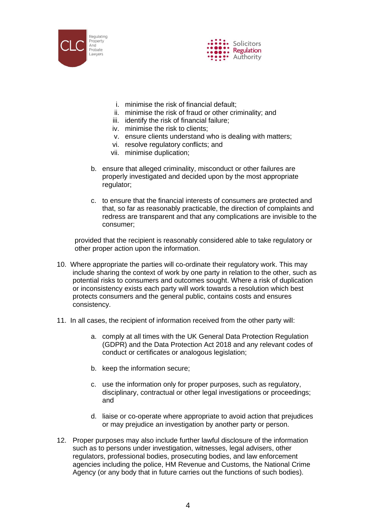



- i. minimise the risk of financial default;
- ii. minimise the risk of fraud or other criminality; and
- iii. identify the risk of financial failure;
- iv. minimise the risk to clients;
- v. ensure clients understand who is dealing with matters;
- vi. resolve regulatory conflicts; and
- vii. minimise duplication;
- b. ensure that alleged criminality, misconduct or other failures are properly investigated and decided upon by the most appropriate regulator;
- c. to ensure that the financial interests of consumers are protected and that, so far as reasonably practicable, the direction of complaints and redress are transparent and that any complications are invisible to the consumer;

provided that the recipient is reasonably considered able to take regulatory or other proper action upon the information.

- 10. Where appropriate the parties will co-ordinate their regulatory work. This may include sharing the context of work by one party in relation to the other, such as potential risks to consumers and outcomes sought. Where a risk of duplication or inconsistency exists each party will work towards a resolution which best protects consumers and the general public, contains costs and ensures consistency.
- 11. In all cases, the recipient of information received from the other party will:
	- a. comply at all times with the UK General Data Protection Regulation (GDPR) and the Data Protection Act 2018 and any relevant codes of conduct or certificates or analogous legislation;
	- b. keep the information secure;
	- c. use the information only for proper purposes, such as regulatory, disciplinary, contractual or other legal investigations or proceedings; and
	- d. liaise or co-operate where appropriate to avoid action that prejudices or may prejudice an investigation by another party or person.
- 12. Proper purposes may also include further lawful disclosure of the information such as to persons under investigation, witnesses, legal advisers, other regulators, professional bodies, prosecuting bodies, and law enforcement agencies including the police, HM Revenue and Customs, the National Crime Agency (or any body that in future carries out the functions of such bodies).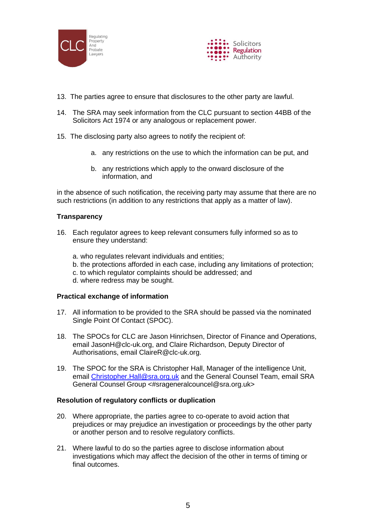



- 13. The parties agree to ensure that disclosures to the other party are lawful.
- 14. The SRA may seek information from the CLC pursuant to section 44BB of the Solicitors Act 1974 or any analogous or replacement power.
- 15. The disclosing party also agrees to notify the recipient of:
	- a. any restrictions on the use to which the information can be put, and
	- b. any restrictions which apply to the onward disclosure of the information, and

in the absence of such notification, the receiving party may assume that there are no such restrictions (in addition to any restrictions that apply as a matter of law).

# **Transparency**

- 16. Each regulator agrees to keep relevant consumers fully informed so as to ensure they understand:
	- a. who regulates relevant individuals and entities;
	- b. the protections afforded in each case, including any limitations of protection;
	- c. to which regulator complaints should be addressed; and
	- d. where redress may be sought.

#### **Practical exchange of information**

- 17. All information to be provided to the SRA should be passed via the nominated Single Point Of Contact (SPOC).
- 18. The SPOCs for CLC are Jason Hinrichsen, Director of Finance and Operations, email JasonH@clc-uk.org, and Claire Richardson, Deputy Director of Authorisations, email ClaireR@clc-uk.org.
- 19. The SPOC for the SRA is Christopher Hall, Manager of the intelligence Unit, email [Christopher.Hall@sra.org.uk](mailto:Christopher.Hall@sra.org.uk) and the General Counsel Team, email SRA General Counsel Group <#srageneralcouncel@sra.org.uk>

#### **Resolution of regulatory conflicts or duplication**

- 20. Where appropriate, the parties agree to co-operate to avoid action that prejudices or may prejudice an investigation or proceedings by the other party or another person and to resolve regulatory conflicts.
- 21. Where lawful to do so the parties agree to disclose information about investigations which may affect the decision of the other in terms of timing or final outcomes.